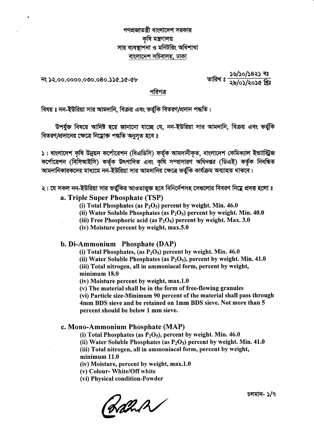## গণপ্রজাতন্ত্রী বাংলাদেশ সরকার কৃষি মন্ত্ৰণালয় সার ব্যবস্থাপনা ও মনিটরিং অধিশাখা বাংলাদেশ সচিবালয়, ঢাকা

নং ১২.০০.০০০০.০৩০.০৪০.১১৫.১৫-৫৮

<u>ঃচ ૮২৪૮\০૮\৬८</u><br>ঃষ্ট্র **৯**৫০১/১০১৫ খ্রিঃ

#### পরিপত্র

বিষয় ঃ নন-ইউরিয়া সার আমদানি, বিক্রয় এবং ভর্তুকি বিতরণ/প্রদান পদ্ধতি।

উপর্যুক্ত বিষয়ে আদিষ্ট হয়ে জানানো যাচ্ছে যে, নন-ইউরিয়া সার আমদানি, বিক্রয় এবং ভর্তুকি বিতরণ/প্রদানের ক্ষেত্রে নিম্নোক্ত পদ্ধতি অনুসৃত হবে ঃ

১। বাংলাদেশ কৃষি উন্নয়ন কর্পোরেশন (বিএডিসি) কর্তৃক আমদানীকৃত, বাংলাদেশ কেমিক্যাল ইন্ডাাস্ট্রিজ<br>কর্পোরেশন (বিসিআইসি) কর্তৃক উৎপাদিত এবং কৃষি সম্প্রসারণ অধিদপ্তর (ডিএই) কর্তৃক নিবন্ধিত আমদানিকারকদের মাধ্যমে নন-ইউরিয়া সার আমদানির ক্ষেত্রে ভর্তুকি কার্যক্রম অব্যাহত থাকবে।

২। যে সকল নন-ইউরিয়া সার ভর্তুকির আওতাভুক্ত হবে বিনির্দেশসহ সেগুলোর বিবরণ নিম্নে প্রদত্ত হলো ঃ

#### a. Triple Super Phosphate (TSP)

- (i) Total Phosphates (as  $P_2O_5$ ) percent by weight. Min. 46.0
- (ii) Water Soluble Phosphates (as  $P_2O_5$ ) percent by weight. Min. 40.0
- (iii) Free Phosphoric acid (as  $P_2O_5$ ) percent by weight. Max. 3.0
- (iv) Moisture percent by weight, max.5.0

b. Di-Ammonium Phosphate (DAP)

(i) Total Phosphates, (as  $P_2O_5$ ) percent by weight. Min. 46.0 (ii) Water Soluble Phosphates (as  $P_2O_5$ ), percent by weight. Min. 41.0 (iii) Total nitrogen, all in ammoniacal form, percent by weight, minimum 18.0

(iv) Moisture percent by weight, max.1.0

(v) The material shall be in the form of free-flowing granules

(vi) Particle size-Minimum 90 percent of the material shall pass through 4mm BDS sieve and be retained on 1mm BDS sieve. Not more than 5 percent should be below 1 mm sieve.

#### c. Mono-Ammonium Phosphate (MAP)

(i) Total Phosphates (as  $P_2O_5$ ), percent by weight. Min. 46.0

(ii) Water Soluble Phosphates (as  $P_2O_5$ ) percent by weight. Min. 41.0

(iii) Total nitrogen, all in ammoniacal form, percent by weight,  $minimum$   $11.0$ 

(iv) Moisture, percent by weight, max.1.0

(v) Colour- White/Off white

(vi) Physical condition-Powder

(Lalled

চলমান- ১/৭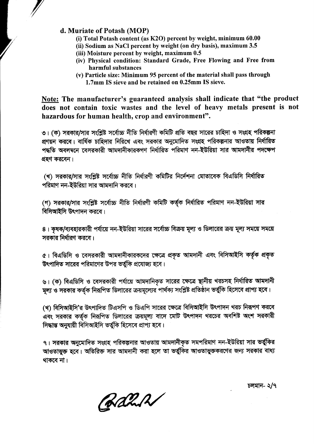### d. Muriate of Potash (MOP)

- (i) Total Potash content (as K2O) percent by weight, minimum 60.00
- (ii) Sodium as NaCl percent by weight (on dry basis), maximum 3.5
- (iii) Moisture percent by weight, maximum 0.5
- (iv) Physical condition: Standard Grade, Free Flowing and Free from harmful substances
- (v) Particle size: Minimum 95 percent of the material shall pass through 1.7mm IS sieve and be retained on 0.25mm IS sieve.

Note: The manufacturer's guaranteed analysis shall indicate that "the product does not contain toxic wastes and the level of heavy metals present is not hazardous for human health, crop and environment".

৩। (ক) সরকার/সার সংশ্লিষ্ট সর্বোচ্চ নীতি নির্ধারণী কমিটি প্রতি বছর সারের চাহিদা ও সংগ্রহ পরিকল্পনা প্রণয়ন করবে। বার্ষিক চাহিদার নিরিখে এবং সরকার অনুমোদিত সংগ্রহ পরিকল্পনার আওতায় নির্ধারিত পদ্ধতি অবলম্বনে বেসরকারী আমদানীকারকগণ নির্ধারিত পরিমাণ নন-ইউরিয়া সার আমদানীর পদক্ষেপ গ্রহণ করবেন।

(খ) সরকার/সার সংশ্লিষ্ট সর্বোচ্চ নীতি নির্ধারণী কমিটির নির্দেশনা মোতাবেক বিএডিসি নির্ধারিত পরিমাণ নন-ইউরিয়া সার আমদানি করবে।

(গ) সরকার/সার সংশ্লিষ্ট সর্বোচ্চ নীতি নির্ধারণী কমিটি কর্তৃক নির্ধারিত পরিমাণ নন-ইউরিয়া সার বিসিআইসি উৎপাদন করবে।

৪। কৃষক/ব্যবহারকারী পর্যায়ে নন-ইউরিয়া সারের সর্বোচ্চ বিক্রয় মূল্য ও ডিলারের ক্রয় মূল্য সময়ে সময়ে সরকার নির্ধারণ করবে।

৫। বিএডিসি ও বেসরকারী আমদানীকারকদের ক্ষেত্রে প্রকৃত আমদানী এবং বিসিআইসি কর্তৃক প্রকৃত উৎপাদিত সারের পরিমাণের উপর ভর্তুকি প্রযোজ্য হবে।

৬। (ক) বিএডিসি ও বেসরকারী পর্যায়ে আমদানিকৃত সারের ক্ষেত্রে স্থানীয় খরচসহ নির্ধারিত আমদানী মূল্য ও সরকার কর্তৃক নিরূপিত ডিলারের ক্রয়মূল্যের পার্থক্য সংশ্লিষ্ট প্রতিষ্ঠান ভর্তুকি হিসেবে প্রাপ্য হবে।

(খ) বিসিআইসি'র উৎপাদিত টিএসপি ও ডিএপি সারের ক্ষেত্রে বিসিআইসি উৎপাদন খরচ নিরূপণ করবে এবং সরকার কর্তৃক নিরূপিত ডিলারের ক্রয়মূল্য বাদে মোট উৎপাদন খরচের অবশিষ্ট অংশ সরকারী সিদ্ধান্ত অনুযায়ী বিসিআইসি ভৰ্তুকি হিসেবে প্ৰাপ্য হবে।

৭। সরকার অনুমোদিত সংগ্রহ পরিকল্পনার আওতায় আমদানীকৃত সমপরিমাণ নন-ইউরিয়া সার ভর্তুকির আওতাভুক্ত হবে। অতিরিক্ত সার আমদানী করা হলে তা ভর্তুকির আওতাভুক্তকরণের জন্য সরকার বাধ্য থাকবে না।

চলমান- ২/৭

Rahr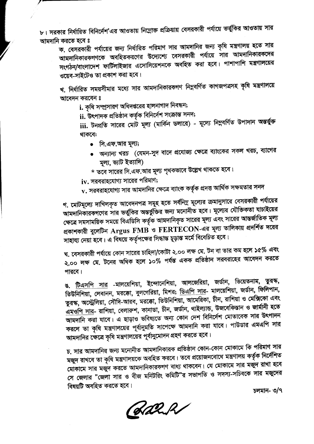৮। সরকার নির্ধারিত বিনির্দেশ'এর আওতায় নিম্নোক্ত প্রক্রিয়ায় বেসরকারী পর্যায়ে ভর্তুকির আওতায় সার আমদানি করতে হবে ঃ

ক. বেসরকারী পর্যায়ের জন্য নির্ধারিত পরিমাণ সার আমদানির জন্য কৃষি মন্ত্রণালয় হতে সার আমদানিকারকগণকে অবহিতকরণের উদ্যেশ্যে বেসরকারী পর্যায়ে সার আমদানিকারকদের সংগঠন/বাংলাদেশ ফার্টিলাইজার এসোসিয়েশনকে অবহিত করা হবে। পাশাপাশি মন্ত্রণালয়ের ওয়েব-সাইটেও তা প্রকাশ করা হবে।

খ. নির্ধারিত সময়সীমার মধ্যে সার আমদানিকারকগণ নিম্নবর্ণিত কাগজপত্রসহ কৃষি মন্ত্রণালয়ে আবেদন করবেন ঃ

i. কৃষি সম্প্রসারণ অধিদপ্তরের হালনাগাদ নিবন্ধন;

ii. উৎপাদক প্ৰতিষ্ঠান কৰ্তৃক বিনিৰ্দেশ সংক্ৰান্ত সনদ;

iii. টনপ্রতি সারের মোট মূল্য (মার্কিন ডলারে) - মূল্যে নিম্নবর্ণিত উপাদান **অন্তর্ভু**ক্ত থাকবে:

- সি.এফ.আর মূল্য;
- অন্যান্য খরচ (যেমন-সুদ বাদে প্রযোজ্য ক্ষেত্রে ব্যাংকের সকল খরচ, ব্যাগের মূল্য, ভ্যাট ইত্যাদি)

\* তবে সারের সি.এফ.আর মূল্য পৃথকভাবে উল্লেখ থাকতে হবে।

 $iv.$  সরবরাহযোগ্য সারের পরিমাণ;

 ${\bf v}$ . সরবরাহযোগ্য সার আমদানির ক্ষেত্রে ব্যাংক কর্তৃক প্রদত্ত আর্থিক সক্ষমতার সনদ

গ. মোটমূল্যে দাখিলকৃত আবেদনপত্র সমূহ হতে সর্বনিম্ন মূল্যের ক্রমানুসারে বেসরকারী পর্যায়ের আমদানিকারকগণের সার ভর্তুকির অন্তর্ভুক্তির জন্য মনোনীত হবে। মূল্যের যৌক্তিকতা যাচাইয়ের ক্ষেত্রে সমসাময়িক সময়ে বিএডিসি কর্তৃক আমদানিকৃত সারের মূল্য এবং সারের আন্তর্জাতিক মূল্য প্রকাশকারী বুলেটিন  ${\rm Argus\ FMB}$  ও  ${\rm FERTECON}$ -এর মূল্য তালিকায় প্রদর্শিত দরের সাহায্য নেয়া হবে। এ বিষয়ে কর্তৃপক্ষের সিদ্ধান্ত চূড়ান্ত মর্মে বিবেচিত হবে।

ঘ. বেসরকারী পর্যায়ে কোন সারের চাহিদা/কোটা ২.০০ লক্ষ মে. টন বা তার কম হলে ১৫% এবং ২.০০ লক্ষ মে. টনের অধিক হলে ১০% পর্যন্ত একক প্রতিষ্ঠান সরবরাহের আবেদন করতে পারবে।

ঙ. <u>টিএসপি সার</u> -মালয়েশিয়া, ইন্দোনেশিয়া, আলজেরিয়া, জর্ডান, ভিয়েতনাম, তুরস্ক, তিউনিশিয়া, লেবানন, মরক্কো, বুলগেরিয়া, মিশর; <u>ডিএপি সার</u>- মালয়েশিয়া, জর্ডান, ফিলিপান, তুরস্ক, অস্ট্রেলিয়া, সৌদি-আরব, মরক্কো, তিউনিশিয়া, আমেরিকা, চীন, রাশিয়া ও মেক্সিকো এবং <u>এমওপি সার</u>- রাশিয়া, বেলারুশ, কানাডা, চীন, জর্ডান, থাইল্যান্ড, উজবেকিস্তান ও জার্মানী হতে আমদানি করা যাবে। এ ছাড়াও ভবিষ্যতে অন্য কোন দেশ বিনির্দেশ মোতাবেক সার উৎপাদন করলে তা কৃষি মন্ত্রণালয়ের পূর্বানুমতি সাপেক্ষে আমদানি করা যাবে। পাউডার এমএপি সার আমদানির ক্ষেত্রে কৃষি মন্ত্রণালয়ের পূর্বানুমোদন গ্রহণ করতে হবে।

চ. সার আমদানির জন্য মনোনীত আমদানিকারক প্রতিষ্ঠান কোন-কোন মোকামে কি পরিমাণ সার মজুদ রাখবে তা কৃষি মন্ত্রণালয়কে অবহিত করবে। তবে প্রয়োজনবোধে মন্ত্রণালয় কর্তৃক নির্দেশিত মোকামে সার মজুদ করতে আমদানিকারকগণ বাধ্য থাকবেন। যে মোকামে সার মজুদ রাখা হবে সে জেলার "জেলা সার ও বীজ মনিটরিং কমিটি"র সভাপতি ও সদস্য-সচিবকে সার মজুদের বিষয়টি অবহিত করতে হবে।

চলমান- ৩/৭

(Kalik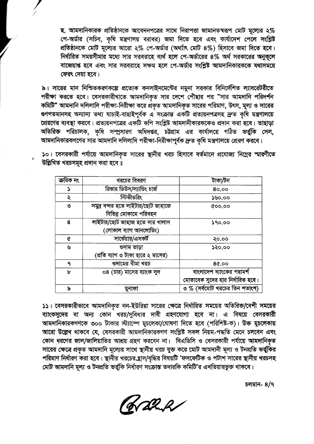ছ. আমদানিকারক প্রতিষ্ঠানকে আবেদনপত্রের সাথে নিরাপত্তা জামানতস্বরূপ মোট মূল্যের ২% পে-অর্ডার (সচিব, কৃষি মন্ত্রণালয় বরাবর) জমা দিতে হবে এবং কার্যাদেশ পেলে সংশ্লিষ্ট প্রতিষ্ঠানকে মোট মূল্যের আরো ২% পে-অর্ডার (অর্থ্যাৎ মোট ৪%) হিসাবে জমা দিতে হবে। নির্ধারিত সময়সীমার মধ্যে সার সরবরাহে ব্যর্থ হলে পে-অর্ডারের ৪% অর্থ সরকারের অনুকূলে বাজেয়াপ্ত হবে এবং সার সরবরাহে সক্ষম হলে পে-অর্ডার সংশ্লিষ্ট আমদানিকারককে যথাসময়ে ফেরৎ দেয়া হবে।

৯। সারের মান নিশ্চিতকরণকল্পে প্রত্যেক কনসাইনমেন্টের নমুনা সরকার বিনির্দেশিত ল্যাবরেটরীতে পরীক্ষা করতে হবে। বেসরকারীখাতে আমদানিকৃত সার দেশে পৌঁছার পর "সার আমদানি পরিদর্শন কমিটি" আমদানি দলিলাদি পরীক্ষা-নিরীক্ষা করে প্রকৃত আমদানিকৃত সারের পরিমাণ, উৎস, মূল্য ও সারের ত্তণগতমানসহ অন্যান্য তথ্য যাচাই-বাছাইপূৰ্বক এ সংক্ৰান্ত একটি প্ৰত্যয়নপত্ৰসহ দ্ৰুত কৃষি মন্ত্ৰণালয়ে প্রেরণের ব্যবস্থা করবে। প্রত্যয়নপত্রের একটি কপি সংশ্লিষ্ট আমদানীকারককেও প্রদান করা হবে। তাছাড়া অতিরিক্ত পরিচালক, কৃষি সম্প্রসারণ অধিদপ্তর, চট্টগ্রাম এর কার্যালয়ে গঠিত ভর্তুকি সেল, আমদানিকারকগণের সার আমদানি দলিলাদি পরীক্ষা-নিরীক্ষাপূর্বক দ্রুত কৃষি মন্ত্রণালয়ে প্রেরণ করবে।

১০। বেসরকারী পর্যায়ে আমদানিকৃত সারের স্থানীয় খরচ হিসাবে বর্তমানে প্রযোজ্য নিম্নের স্মারণীতে উল্লিখিত খরচসমূহ প্রদান করা হবে ঃ

| ক্ৰমিক নং | খরচের বিবরণ                        | টাকা/টন                          |
|-----------|------------------------------------|----------------------------------|
|           | রিভার ডিউস/ল্যান্ডিং চার্জ         | 80,00                            |
| ২         | স্টিভীডরিং                         | ১৬০.০০                           |
| ৩         | সমুদ্র বন্দর হতে লাইটার/ছোট জাহাজে | &00,00                           |
|           | বিভিন্ন মোকামে পরিবহন              |                                  |
| 8         | লাইটার/ছোট জাহাজ হতে সার খালাস     | 590,00                           |
|           | (লোকাল ব্যাগ আনলোডিং)              |                                  |
| ¢         | সার্ভেয়ার/এসকর্ট                  | ২০.০০                            |
| ৬         | ণ্ডদাম ভাড়া                       | ১২০.০০                           |
|           | (প্রতি ব্যাগ ৩ টাকা হারে ২ মাসের)  |                                  |
| ٩         | গুদামের বীমা খরচ                   | 80.00                            |
| ৮         | ০৪ (চার) মাসের ব্যাংক সুদ          | বাংলাদেশ ব্যাংকের পরামর্শ        |
|           |                                    | মোতাবেক সুদের হার নির্ধারিত হবে। |
| ৯         | মুনাফা                             | ৩ % (সর্বমোট খরচের তিন শতাংশ)    |

১১। বেসরকারীভাবে আমদানিকৃত নন-ইউরিয়া সারের ক্ষেত্রে নির্ধারিত সময়ের অতিরিক্ত/বেশী সময়ের ব্যাংকসুদের বা অন্য কোন খরচ/সুবিধার দাবী গ্রহণযোগ্য হবে না। এ বিষয়ে বেসরকারী আমদানিকারকগণকে ৩০০ টাকার স্ট্যাম্পে মুচলেকা/ঘোষণা দিতে হবে (পরিশিষ্ট-ক)। উক্ত মুচলেকায় আরো উল্লেখ থাকবে যে, বেসরকারী আমদানিকারকগণ সংশ্লিষ্ট সকল নিয়ম-পদ্ধতি মেনে চলবেন এবং কোন ধরণের জাল/জালিয়াতির আশ্রয় গ্রহণ করবেন না। বিএডিসি ও বেসরকারী পর্যায়ে আমদানিকৃত সারের ক্ষেত্রে প্রকৃত আমদানি মূল্যের সাথে স্থানীয় খরচ যুক্ত করে মোট আমদানী মূল্য ও টনপ্রতি ভর্তু্কির পরিমাণ নির্ধারণ করা হবে। স্থানীয় খরচের হ্রাস/বৃদ্ধির বিষয়টি 'ফসফেটিক ও পটাশ সারের স্থানীয় খরচসহ মোট আমদানি মূল্য ও টনপ্রতি ভর্তুকি নির্ধারণ সংক্রান্ত তদারকি কমিটি'র এখতিয়ারভুক্ত থাকবে।

চলমান- 8/9

Kaha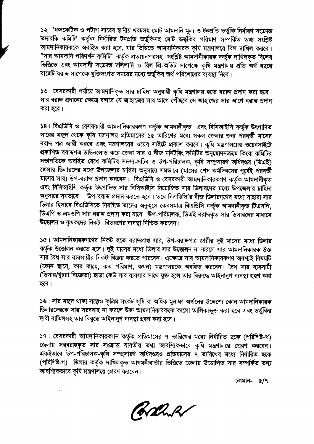১২। 'ফসফেটিক ও পটাশ সারের স্থানীয় খরচসহ মোট আমদানি মূল্য ও টনপ্রতি ভর্তুকি নির্ধারণ সংক্রান্ত তদারকি কমিটি' কর্তৃক নির্ধারিত টনপ্রতি ভর্তুকিসহ মোট ভর্তুকির পরিমাণ সম্পর্কিত তথ্য সংশ্লিষ্ট আমদানিকারককে অবহিত করা হবে, যার ভিত্তিতে আমদানিকারক কৃষি মন্ত্রণালয়ে বিল দাখিল করবে। "সার আমদানি পরিদর্শন কমিটি" কর্তৃক প্রত্যয়নপত্রসহ সংশ্লিষ্ট আমদানীকারক কর্তৃক দাখিলকৃত বিলের ভিত্তিতে এবং আমদানী সংক্রান্ত দলিলাদি ও বিল প্রি-অডিট সাপেক্ষে কৃষি মন্ত্রণালয় প্রতি অর্থ বছরে বাজেট বরাদ্দ সাপেক্ষে যুক্তিসংগত সময়ের মধ্যে ভর্তুকির অর্থ পরিশোধের ব্যবস্থা নিবে।

১৩। বেসরকারী পর্যায়ে আমদানিকৃত সার চাহিদা অনুযায়ী কৃষি মন্ত্রণালয় হতে বরাদ্দ প্রদান করা হবে। সার বরাদ্দ প্রদানের ক্ষেত্রে বন্দরে যে জাহাজের সার আগে পৌছবে সে জাহাজের সার আগে বরাদ্দ প্রদান করা হবে।

১৪। বিএডিসি ও বেসরকারী আমদানিকারকগণ কর্তৃক আমদানীকৃত এবং বিসিআইসি কর্তৃক উৎপাদিত সারের মজুদ থেকে কৃষি মন্ত্রণালয় প্রতিমাসের ১৫ তারিখের মধ্যে সকল জেলার জন্য পরবর্তী মাসের বরাদ্দ পত্র জারী করবে এবং মন্ত্রণালয়ের ওয়েব সাইটে প্রকাশ করবে। কৃষি মন্ত্রণালয়ের ওয়েবসাইটে প্রকাশিত বরাদ্দপত্র ডাউনলোড করে জেলা সার ও বীজ মনিটরিং কমিটির অনুমোদনক্রমে কিংবা কমিটির সভাপতিকে অবহিত রেখে কমিটির সদস্য-সচিব ও উপ-পরিচালক, কৃষি সম্প্রসারণ অধিদপ্তর (ডিএই) জেলার ডিলারদের মধ্যে উপজেলার চাহিদা অনুসারে সমভাবে (মাসের শেষ কর্মদিবসের পূর্বেই পরবর্তী মাসের সার) উপ-বরাদ্দ প্রদান করবেন। বিএডিসি ও বেসরকারী আমদানিকারকগণ কর্তৃক আমদানীকৃত এবং বিসিআইসি কর্তৃক উৎপাদিত সার বিসিআইসি নিয়োজিত সার ডিলারদের মধ্যে উপজেলার চাহিদা অনুসারে সমভাবে উপ-বরাদ্দ প্রদান করতে হবে। তবে বিএডিসি'র বীজ ডিলারগণের মধ্যে যাহারা সার ডিলার হিসাবে বিএডিসিতে নিবন্ধিত তাদের অনুকূলে কেবলমাত্র বিএডিসি কর্তৃক আমদানীকৃত টিএসপি, ডিএপি ও এমওপি সার বরাদ্দ প্রদান করা যাবে। উপ-পরিচালক, ডিএই বরাদ্দকৃত সার ডিলারদের মাধ্যমে উত্তোলন ও কৃষকদের নিকট বিতরণের ব্যবস্থা নিশ্চিত করবেন।

১৫। আমদানিকারকগণের নিকট হতে বরাদ্ধপ্রাপ্ত সার, উপ-বরাদ্দপত্র জারীর দুই মাসের মধ্যে ডিলার কর্তৃক উত্তোলন করতে হবে। দুই মাসের মধ্যে ডিলার সার উত্তোলন না করলে সার আমদানিকারক উক্ত সার বৈধ সার ব্যবসায়ীর নিকট বিক্রয় করতে পারবেন। এক্ষেত্রে সার আমদানিকারকগণ অবশ্যই বিষয়টি (কোন স্থানে, কার কাছে, কত পরিমাণ, কখন) মন্ত্রণালয়কে অবহিত করবেন। বৈধ সার ব্যবসায়ী (ডিলার/খুচরা বিক্রেতা) ছাড়া কেউ সার ব্যবসার সাথে যুক্ত হলে তার বিরুদ্ধে আইনানুগ ব্যবস্থা গ্রহণ করা হবে।

১৬। সার মজুদ থাকা সত্ত্বেও কৃত্রিম সংকট সৃষ্টি বা অধিক মুনাফা অর্জনের উদ্দেশ্যে কোন আমদানিকারক ডিলারদেরকে সার সরবরাহ না করলে উক্ত আমদানিকারককে কালো তালিকাভূক্ত করা হবে এবং ভর্তুকির দাবী বাতিলসহ তার বিরুদ্ধে আইনানুগ ব্যবস্থা গ্রহণ করা হবে।

১৭। বেসরকারী আমদানিকারকগন কর্তৃক প্রতিমাসের ৭ তারিখের মধ্যে নির্ধারিত ছকে (পরিশিষ্ট-খ) জেলায় সরবরাহকৃত সার সংক্রান্ত যাবতীয় তথ্য আবশ্যিকভাবে কৃষি মন্ত্রণালয়ে প্রেরণ করবেন। একইভাবে উপ-পরিচালক-কৃষি সম্প্রসারণ অধিদপ্তরও প্রতিমাসের ৭ তারিখের মধ্যে নির্ধারিত ছকে (পরিশিষ্ট-গ) ডিলার কর্তৃক দাখিলকৃত আগমনীবার্তার ভিত্তিতে জেলায় উত্তোলিত সার সম্পর্কিত তথ্য আবশ্যিকভাবে কৃষি মন্ত্রণালয়ে প্রেরণ করবেন।

চলমান- ৫/৭

ChathR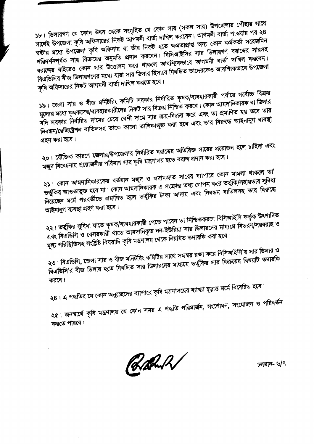১৮। ডিলারগণ যে কোন উৎস থেকে সংগৃহিত যে কোন সার (সকল সার) উপজেলায় পৌঁছার সাথে সাথেই উপজেলা কৃষি অফিসারের নিকট আগমনী বার্তা দাখিল করবেন। আগমনী বার্তা পাওয়ার পর ২৪ ঘন্টার মধ্যে উপজেলা কৃষি অফিসার বা তাঁর নিকট হতে ক্ষমতাপ্রাপ্ত অন্য কোন কর্মকর্তা সরেজমিন পরিদর্শনপূর্বক সার বিক্রয়ের অনুমতি প্রদান করবেন। বিসিআইসির সার ডিলারগণ বরাদ্দের সারসহ বরাদ্দের বাইরেও কোন সার উত্তোলন করে থাকলে আবশ্যিকভাবে আগমনী বার্তা দাখিল করবেন। বিএডিসির বীজ ডিলারগণের মধ্যে যারা সার ডিলার হিসাবে নিবন্ধিত তাদেরকেও আবশ্যিকভাবে উপজেলা

কৃষি অফিসারের নিকট আগমনী বার্তা দাখিল করতে হবে।

১৯। জেলা সার ও বীজ মনিটরিং কমিটি সরকার নির্ধারিত কৃষক/ব্যবহারকারী পর্যায়ে সর্বোচ্চ বিক্রয় মূল্যের মধ্যে কৃষকদের/ব্যবহারকারীদের নিকট সার বিক্রয় নিশ্চিত করবে। কোন আমদানিকারক বা ডিলার যদি সরকার নির্ধারিত দামের চেয়ে বেশী দামে সার ক্রয়-বিক্রয় করে এবং তা প্রমাণিত হয় তবে তার নিবন্ধন/রেজিষ্ট্রেশন বাতিলসহ তাকে কালো তালিকাভূক্ত করা হবে এবং তার বিরুদ্ধে আইনানুগ ব্যবস্থা

গ্রহণ করা হবে।

২০। যৌক্তিক কারণে জেলার/উপজেলার নির্ধারিত বরাদ্দের অতিরিক্ত সারের প্রয়োজন হলে চাহিদা এবং মজুদ বিবেচনায় প্রয়োজনীয় পরিমাণ সার কৃষি মন্ত্রণালয় হতে বরাদ্দ প্রদান করা হবে।

২১। কোন আমদানিকারকের বর্তমান মজুদ ও গুদামজাত সারের ব্যাপারে কোন মামলা থাকলে তা' ভর্তুকির আওতাভুক্ত হবে না। কোন আমদানিকারক এ সংক্রান্ত তথ্য গোপন করে ভর্তুকি/সহায়তার সুবিধা নিয়েছেন মৰ্মে পরবর্তীতে প্রমাণিত হলে ভর্তুকির টাকা আদায় এবং নিবন্ধন বাতিলসহ তার বিরুদ্ধে আইনানুগ ব্যবস্থা গ্রহণ করা হবে।

২২। ভর্তুকির সুবিধা যাতে কৃষক/ব্যবহারকারী পেতে পারেন তা নিশ্চিতকরণে বিসিআইসি কর্তৃক উৎপাদিত এবং বিএডিসি ও বেসরকারী খাতে আমদানিকৃত নন-ইউরিয়া সার ডিলারদের মাধ্যমে বিতরণ/সরবরাহ ও মূল্য পরিস্থিতিসহ সংশ্লিষ্ট বিষয়াদি কৃষি মন্ত্রণালয় থেকে নিয়মিত তদারকি করা হবে।

২৩। বিএডিসি, জেলা সার ও বীজ মনিটরিং কমিটির সাথে সমন্বয় রক্ষা করে বিসিআইসি'র সার ডিলার ও বিএডিসি'র বীজ ডিলার হতে নিবন্ধিত সার ডিলারদের মাধ্যমে ভর্তুকির সার বিক্রয়ের বিষয়টি তদারকি করবে।

২৪। এ পদ্ধতির যে কোন অনুচ্ছেদের ব্যাপারে কৃষি মন্ত্রণালয়ের ব্যাখ্যা চূড়ান্ত মর্মে বিবেচিত হবে।

২৫। জনস্বার্থে কৃষি মন্ত্রণালয় যে কোন সময় এ পদ্ধতি পরিমার্জন, সংশোধন, সংযোজন ও পরিবর্তন করতে পারবে।

Rahol

চলমান- ৬/৭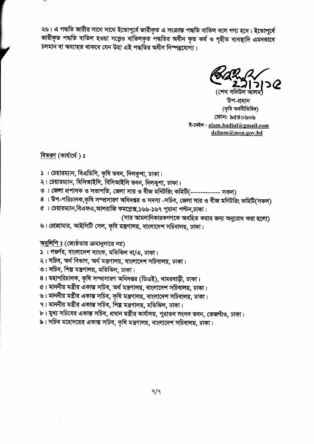২৬। এ পদ্ধতি জারীর সাথে সাথে ইতোপূর্বে জারীকৃত এ সংক্রান্ত পদ্ধতি বাতিল বলে গণ্য হবে। ইতোপূর্বে জারীকৃত পদ্ধতি বাতিল হওয়া সত্ত্বেও বাতিলকৃত পদ্ধতির অধীন কৃত কর্ম ও গৃহীত ব্যবস্থাদি এমনভাবে চলমান বা অব্যাহত থাকবে যেন উহা এই পদ্ধতির অধীন নিস্পন্নযোগ্য।

উপ-প্ৰধান (কৃষি অৰ্থনীতিবিদ) ফোন: ৯৫৪০৬০৬ ই-মেইল: alam.badiul@gmail.com dcfmm@moa.gov.bd

বিতরণ (কার্যার্থে)  $s$ 

- ১। চেয়ারম্যান, বিএডিসি, কৃষি ভবন, দিলকুশা, ঢাকা।
- ২। চেয়ারম্যান, বিসিআইসি, বিসিআইসি ভবন, দিলকুশা, ঢাকা।
- ৩। জেলা প্রশাসক ও সভাপতি, জেলা সার ও বীজ মনিটরিং কমিটি(------------ সকল)
- ৪ । উপ-পরিচালক,কৃষি সম্প্রসারণ অধিদপ্তর ও সদস্য -সচিব, জেলা সার ও বীজ মনিটরিং কমিটি(সকল)
- ৫ । চেয়ারম্যান,বিএফএ,আলরাজি কমপ্লেক্স,১৬৬-১৬৭ পুরানা পল্টন,ঢাকা।
	- (সার আমদানিকারকগণকে অবহিত করার জন্য অনুরোধ করা হলো)
- ৬। প্রোঘামার, আইসিটি সেল, কৃষি মন্ত্রণালয়, বাংলাদেশ সচিবালয়, ঢাকা।

# <u>অনুলিপি ঃ</u> (জ্যেষ্ঠতার ক্রমানুসারে নয়)

- ১। গভর্ণর, বাংলাদেশ ব্যাংক, মতিঝিল বা/এ, ঢাকা।
- ২। সচিব, অর্থ বিভাগ, অর্থ মন্ত্রণালয়, বাংলাদেশ সচিবালয়, ঢাকা।
- ৩। সচিব, শিল্প মন্ত্রণালয়, মতিঝিল, ঢাকা।
- ৪। মহাপরিচালক, কৃষি সম্প্রসারণ অধিদপ্তর (ডিএই), খামরবাড়ী, ঢাকা।
- ৫। মাননীয় মন্ত্ৰীর একান্ত সচিব, অর্থ মন্ত্রণালয়, বাংলাদেশ সচিবালয়, ঢাকা।
- ৬। মাননীয় মন্ত্ৰীর একাস্ত সচিব, কৃষি মন্ত্রণালয়, বাংলাদেশ সচিবালয়, ঢাকা।
- ৭। মাননীয় মন্ত্ৰীর একান্ত সচিব, শিল্প মন্ত্রণালয়, মতিঝিল, ঢাকা।
- ৮। মুখ্য সচিবের একান্ত সচিব, প্রধান মন্ত্রীর কার্যালয়, পুরাতন সংসদ ভবন, তেজগাঁও, ঢাকা।
- ৯। সচিব মহোদয়ের একান্ত সচিব, কৃষি মন্ত্রণালয়, বাংলাদেশ সচিবালয়, ঢাকা।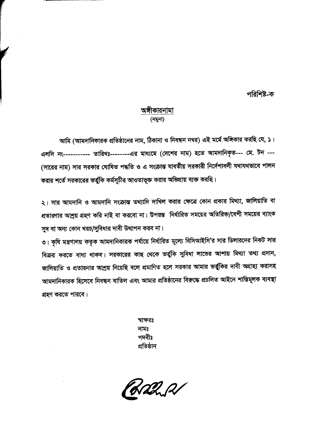## পরিশিষ্ট-ক

## অঙ্গীকারনামা (নমুনা)

আমি (আমদানিকারক প্রতিষ্ঠানের নাম, ঠিকানা ও নিবন্ধন নম্বর) এই মর্মে অঙ্গিকার করছি যে, ১। এলসি নং----------- তারিখঃ-------এর মাধ্যমে (দেশের নাম) হতে আমদানিকৃত--- মে. টন ---(সারের নাম) সার সরকার ঘোষিত পদ্ধতি ও এ সংক্রান্ত যাবতীয় সরকারী নির্দেশাবলী যথাযথভাবে পালন করার শর্তে সরকারের ভর্তু্কি কর্মসূচীর আওতাভূক্ত করার অভিপ্রায় ব্যক্ত করছি।

২। সার আমদানি ও আমদানি সংক্রান্ত তথ্যাদি দাখিল করার ক্ষেত্রে কোন প্রকার মিথ্যা, জালিয়াতি বা প্রতারণার আশ্রয় গ্রহণ করি নাই বা করবো না। উপরম্ভ নির্ধারিত সময়ের অতিরিক্ত/বেশী সময়ের ব্যাংক সুদ বা অন্য কোন খরচ/সুবিধার দাবী উত্থাপন করব না।

৩। কৃষি মন্ত্রণালয় কতৃক আমদানিকারক পর্যায়ে নির্ধারিত মূল্যে বিসিআইসি'র সার ডিলারদের নিকট সার বিক্রয় করতে বাধ্য থাকব। সরকারের কাছ থেকে ভর্তুকি সুবিধা লাভের আশায় মিথ্যা তথ্য প্রদান, জালিয়াতি ও প্রতারনার আশ্রয় নিয়েছি বলে প্রমাণিত হলে সরকার আমার ভর্তুকির দাবী অগ্রাহ্য করাসহ আমদানিকারক হিসেবে নিবন্ধন বাতিল এবং আমার প্রতিষ্ঠানের বিরুদ্ধে প্রচলিত আইনে শাস্তিমূলক ব্যবস্থা গ্রহণ করতে পারবে।

> স্বাক্ষরঃ নামঃ পদবীঃ প্রতিষ্ঠান

Wadnel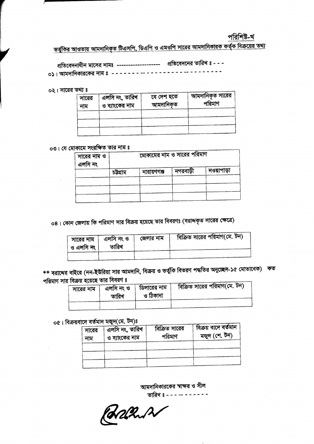## পরিশিষ্ট-খ

<u>ভর্তুকির আওতায় আমদানিকৃত টিএসপি, ডিএপি ও এমওপি সারের আমদানিকারক কর্তৃক বিক্রয়ের তথ্য</u>

প্রতিবেদনাধীন মাসের নামঃ -------------------- প্রতিবেদনের তারিখ ঃ - - -০১। আমদানিকারকের নাম ঃ ----------------------------

০২। সারের তথ্য ঃ

| সারের<br>নাম | এলসি নং, তারিখ<br>ও ব্যাংকের নাম | যে দেশ হতে<br>আমদানিকৃত | আমদানিকৃত সারের<br>পরিমাণ |
|--------------|----------------------------------|-------------------------|---------------------------|
|              |                                  |                         |                           |
|              |                                  |                         |                           |

০৩। যে মোকামে সংরক্ষিত তার নাম ঃ

| সারের নাম ও<br>এলসি নং | মোকামের নাম ও সারের পরিমাণ |             |          |            |
|------------------------|----------------------------|-------------|----------|------------|
|                        | চট্টগ্ৰাম                  | নারায়ণগঞ্জ | নগরবাড়ী | নওয়াপাড়া |
|                        |                            |             |          |            |
|                        |                            |             |          |            |

০৪। কোন জেলায় কি পরিমাণ সার বিক্রয় হয়েছে তার বিবরণঃ (বরাদ্দকৃত সারের ক্ষেত্রে)

| সারের নাম<br>ও এলসি নং | এলসি নং ও<br>তারিখ | জেলার নাম | বিক্রিত সারের পরিমাণ(মে. টন) |
|------------------------|--------------------|-----------|------------------------------|
|                        |                    |           |                              |

\*\* বরাদ্দের বাইরে (নন-ইউরিয়া সার আমদানি, বিক্রয় ও ভর্তুকি বিতরণ পদ্ধতির অনুচ্ছেদ-১৫ মোতাবেক) কত পরিমাণ সার বিক্রয় হয়েছে তার বিবরণ ঃ

| $\blacksquare$<br>সারের নাম | এলসি নং ও<br>তারিখ | ডিলারের নাম<br>ও ঠিকানা | বিক্রিত সারের পরিমাণ(মে. টন) |
|-----------------------------|--------------------|-------------------------|------------------------------|
|                             |                    |                         |                              |

# ০৫। বিক্রয়বাদে বর্তমান মজুদ(মে. টন)ঃ

| সারের<br>নাম | এলসি নং, তারিখ<br>ও ব্যাংকের নাম | বিক্রিত সারের<br>পরিমাণ | বিক্ৰয় বাদে বৰ্তমান<br>মজুদ (শে. টন) |
|--------------|----------------------------------|-------------------------|---------------------------------------|
|              |                                  |                         |                                       |
|              |                                  |                         |                                       |

আমদানিকারকের স্বাক্ষর ও সীল

**CARLEY AVERY PIPER STARK**